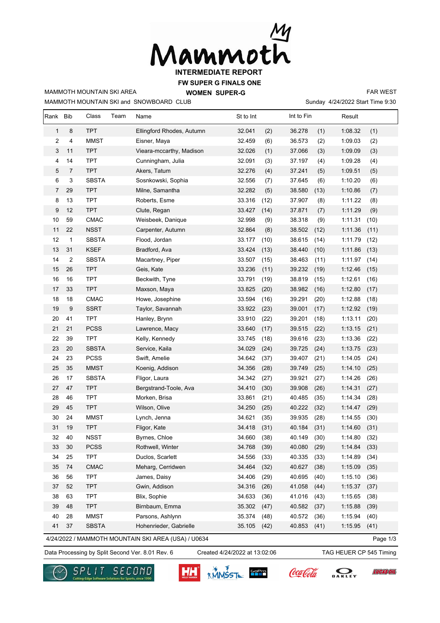

**FW SUPER G FINALS ONE**

MAMMOTH MOUNTAIN SKI and SNOWBOARD CLUB MAMMOTH MOUNTAIN SKI AREA

**WOMEN SUPER-G** 

Sunday 4/24/2022 Start Time 9:30 FAR WEST

| Rank                                                            | <b>Bib</b>       | Class        | Team | Name                      | St to Int      | Int to Fin | Result          |      |  |
|-----------------------------------------------------------------|------------------|--------------|------|---------------------------|----------------|------------|-----------------|------|--|
| $\mathbf{1}$                                                    | 8                | <b>TPT</b>   |      | Ellingford Rhodes, Autumn | 32.041<br>(2)  | 36.278     | 1:08.32<br>(1)  | (1)  |  |
| 2                                                               | $\overline{4}$   | <b>MMST</b>  |      | Eisner, Maya              | 32.459<br>(6)  | 36.573     | (2)<br>1:09.03  | (2)  |  |
| 3                                                               | 11               | <b>TPT</b>   |      | Vieara-mccarthy, Madison  | (1)<br>32.026  | 37.066     | 1:09.09<br>(3)  | (3)  |  |
| 4                                                               | 14               | <b>TPT</b>   |      | Cunningham, Julia         | 32.091<br>(3)  | 37.197     | 1:09.28<br>(4)  | (4)  |  |
| 5                                                               | $\overline{7}$   | <b>TPT</b>   |      | Akers, Tatum              | 32.276<br>(4)  | 37.241     | (5)<br>1:09.51  | (5)  |  |
| 6                                                               | $\mathsf 3$      | <b>SBSTA</b> |      | Sosnkowski, Sophia        | 32.556<br>(7)  | 37.645     | 1:10.20<br>(6)  | (6)  |  |
| 7                                                               | 29               | <b>TPT</b>   |      | Milne, Samantha           | (5)<br>32.282  | 38.580     | (13)<br>1:10.86 | (7)  |  |
| 8                                                               | 13               | <b>TPT</b>   |      | Roberts, Esme             | 33.316<br>(12) | 37.907     | 1:11.22<br>(8)  | (8)  |  |
| 9                                                               | 12               | <b>TPT</b>   |      | Clute, Regan              | 33.427<br>(14) | 37.871     | 1:11.29<br>(7)  | (9)  |  |
| 10                                                              | 59               | CMAC         |      | Weisbeek, Danique         | 32.998<br>(9)  | 38.318     | (9)<br>1:11.31  | (10) |  |
| 11                                                              | 22               | <b>NSST</b>  |      | Carpenter, Autumn         | 32.864<br>(8)  | 38.502     | (12)<br>1:11.36 | (11) |  |
| 12                                                              | $\mathbf{1}$     | <b>SBSTA</b> |      | Flood, Jordan             | 33.177<br>(10) | 38.615     | 1:11.79<br>(14) | (12) |  |
| 13                                                              | 31               | <b>KSEF</b>  |      | Bradford, Ava             | 33.424<br>(13) | 38.440     | (10)<br>1:11.86 | (13) |  |
| 14                                                              | 2                | <b>SBSTA</b> |      | Macartney, Piper          | 33.507<br>(15) | 38.463     | (11)<br>1:11.97 | (14) |  |
| 15                                                              | 26               | <b>TPT</b>   |      | Geis, Kate                | 33.236<br>(11) | 39.232     | (19)<br>1:12.46 | (15) |  |
| 16                                                              | 16               | <b>TPT</b>   |      | Beckwith, Tyne            | 33.791<br>(19) | 38.819     | 1:12.61<br>(15) | (16) |  |
| 17                                                              | 33               | <b>TPT</b>   |      | Maxson, Maya              | 33.825<br>(20) | 38.982     | 1:12.80<br>(16) | (17) |  |
| 18                                                              | 18               | CMAC         |      | Howe, Josephine           | 33.594<br>(16) | 39.291     | (20)<br>1:12.88 | (18) |  |
| 19                                                              | $\boldsymbol{9}$ | <b>SSRT</b>  |      | Taylor, Savannah          | 33.922<br>(23) | 39.001     | 1:12.92<br>(17) | (19) |  |
| 20                                                              | 41               | <b>TPT</b>   |      | Hanley, Brynn             | 33.910<br>(22) | 39.201     | 1:13.11<br>(18) | (20) |  |
| 21                                                              | 21               | <b>PCSS</b>  |      | Lawrence, Macy            | 33.640<br>(17) | 39.515     | 1:13.15<br>(22) | (21) |  |
| 22                                                              | 39               | <b>TPT</b>   |      | Kelly, Kennedy            | 33.745<br>(18) | 39.616     | (23)<br>1:13.36 | (22) |  |
| 23                                                              | 20               | <b>SBSTA</b> |      | Service, Kaila            | 34.029<br>(24) | 39.725     | (24)<br>1:13.75 | (23) |  |
| 24                                                              | 23               | <b>PCSS</b>  |      | Swift, Amelie             | 34.642<br>(37) | 39.407     | (21)<br>1:14.05 | (24) |  |
| 25                                                              | 35               | <b>MMST</b>  |      | Koenig, Addison           | 34.356<br>(28) | 39.749     | 1:14.10<br>(25) | (25) |  |
| 26                                                              | 17               | <b>SBSTA</b> |      | Fligor, Laura             | 34.342<br>(27) | 39.921     | 1:14.26<br>(27) | (26) |  |
| 27                                                              | 47               | <b>TPT</b>   |      | Bergstrand-Toole, Ava     | 34.410<br>(30) | 39.908     | (26)<br>1:14.31 | (27) |  |
| 28                                                              | 46               | <b>TPT</b>   |      | Morken, Brisa             | 33.861<br>(21) | 40.485     | (35)<br>1:14.34 | (28) |  |
| 29                                                              | 45               | <b>TPT</b>   |      | Wilson, Olive             | 34.250<br>(25) | 40.222     | 1:14.47<br>(32) | (29) |  |
| 30                                                              | 24               | <b>MMST</b>  |      | Lynch, Jenna              | 34.621<br>(35) | 39.935     | 1:14.55<br>(28) | (30) |  |
| 31                                                              | 19               | <b>TPT</b>   |      | Fligor, Kate              | 34.418<br>(31) | 40.184     | (31)<br>1:14.60 | (31) |  |
| 32                                                              | 40               | <b>NSST</b>  |      | Byrnes, Chloe             | 34.660<br>(38) | 40.149     | 1:14.80<br>(30) | (32) |  |
| 33                                                              | $30\,$           | <b>PCSS</b>  |      | Rothwell, Winter          | 34.768<br>(39) | 40.080     | (29)<br>1:14.84 | (33) |  |
| 34                                                              | 25               | <b>TPT</b>   |      | Duclos, Scarlett          | 34.556<br>(33) | 40.335     | (33)<br>1:14.89 | (34) |  |
| 35                                                              | 74               | <b>CMAC</b>  |      | Meharg, Cerridwen         | 34.464<br>(32) | 40.627     | (38)<br>1:15.09 | (35) |  |
| 36                                                              | 56               | <b>TPT</b>   |      | James, Daisy              | 34.406<br>(29) | 40.695     | (40)<br>1:15.10 | (36) |  |
| 37                                                              | 52               | <b>TPT</b>   |      | Gwin, Addison             | 34.316<br>(26) | 41.058     | 1:15.37<br>(44) | (37) |  |
| 38                                                              | 63               | <b>TPT</b>   |      | Blix, Sophie              | 34.633<br>(36) | 41.016     | (43)<br>1:15.65 | (38) |  |
| 39                                                              | 48               | <b>TPT</b>   |      | Birnbaum, Emma            | 35.302<br>(47) | 40.582     | (37)<br>1:15.88 | (39) |  |
| 40                                                              | 28               | <b>MMST</b>  |      | Parsons, Ashlynn          | 35.374<br>(48) | 40.572     | 1:15.94<br>(36) | (40) |  |
| 41                                                              | $37\,$           | <b>SBSTA</b> |      | Hohenrieder, Gabrielle    | 35.105<br>(42) | 40.853     | (41)<br>1:15.95 | (41) |  |
| 4/24/2022 / MAMMOTH MOUNTAIN SKI AREA (USA) / U0634<br>Page 1/3 |                  |              |      |                           |                |            |                 |      |  |

Data Processing by Split Second Ver. 8.01 Rev. 6 Created 4/24/2022 at 13:02:06 TAG HEUER CP 545 Timing

SECOND

Created 4/24/2022 at 13:02:06

ĿЩ

**WINSSTA SPPP** 

**EUCASÓIL** 

DAKLEY

Coca Cola

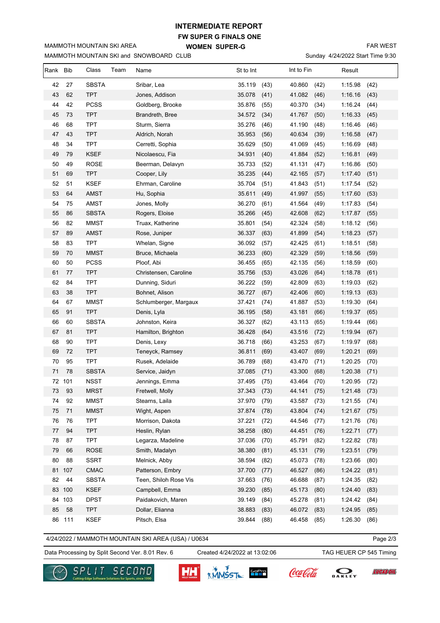## **FW SUPER G FINALS ONE INTERMEDIATE REPORT**

**WOMEN SUPER-G** 

MAMMOTH MOUNTAIN SKI and SNOWBOARD CLUB

MAMMOTH MOUNTAIN SKI AREA

FAR WEST

Sunday 4/24/2022 Start Time 9:30

| Rank Bib |        | Class        | Team | Name                  | St to Int |      | Int to Fin |      | Result  |      |
|----------|--------|--------------|------|-----------------------|-----------|------|------------|------|---------|------|
| 42       | 27     | <b>SBSTA</b> |      | Sribar, Lea           | 35.119    | (43) | 40.860     | (42) | 1:15.98 | (42) |
| 43       | 62     | <b>TPT</b>   |      | Jones, Addison        | 35.078    | (41) | 41.082     | (46) | 1:16.16 | (43) |
| 44       | 42     | <b>PCSS</b>  |      | Goldberg, Brooke      | 35.876    | (55) | 40.370     | (34) | 1:16.24 | (44) |
| 45       | 73     | <b>TPT</b>   |      | Brandreth, Bree       | 34.572    | (34) | 41.767     | (50) | 1:16.33 | (45) |
| 46       | 68     | <b>TPT</b>   |      | Sturm, Sierra         | 35.276    | (46) | 41.190     | (48) | 1:16.46 | (46) |
| 47       | 43     | <b>TPT</b>   |      | Aldrich, Norah        | 35.953    | (56) | 40.634     | (39) | 1:16.58 | (47) |
| 48       | 34     | <b>TPT</b>   |      | Cerretti, Sophia      | 35.629    | (50) | 41.069     | (45) | 1:16.69 | (48) |
| 49       | 79     | <b>KSEF</b>  |      | Nicolaescu, Fia       | 34.931    | (40) | 41.884     | (52) | 1:16.81 | (49) |
| 50       | 49     | ROSE         |      | Beerman, Delavyn      | 35.733    | (52) | 41.131     | (47) | 1:16.86 | (50) |
| 51       | 69     | <b>TPT</b>   |      | Cooper, Lily          | 35.235    | (44) | 42.165     | (57) | 1:17.40 | (51) |
| 52       | 51     | <b>KSEF</b>  |      | Ehrman, Caroline      | 35.704    | (51) | 41.843     | (51) | 1:17.54 | (52) |
| 53       | 64     | AMST         |      | Hu, Sophia            | 35.611    | (49) | 41.997     | (55) | 1:17.60 | (53) |
| 54       | 75     | AMST         |      | Jones, Molly          | 36.270    | (61) | 41.564     | (49) | 1:17.83 | (54) |
| 55       | 86     | <b>SBSTA</b> |      | Rogers, Eloise        | 35.266    | (45) | 42.608     | (62) | 1:17.87 | (55) |
| 56       | 82     | <b>MMST</b>  |      | Truax, Katherine      | 35.801    | (54) | 42.324     | (58) | 1:18.12 | (56) |
| 57       | 89     | AMST         |      | Rose, Juniper         | 36.337    | (63) | 41.899     | (54) | 1:18.23 | (57) |
| 58       | 83     | <b>TPT</b>   |      | Whelan, Signe         | 36.092    | (57) | 42.425     | (61) | 1:18.51 | (58) |
| 59       | 70     | <b>MMST</b>  |      | Bruce, Michaela       | 36.233    | (60) | 42.329     | (59) | 1:18.56 | (59) |
| 60       | 50     | <b>PCSS</b>  |      | Ploof, Abi            | 36.455    | (65) | 42.135     | (56) | 1:18.59 | (60) |
| 61       | 77     | <b>TPT</b>   |      | Christensen, Caroline | 35.756    | (53) | 43.026     | (64) | 1:18.78 | (61) |
| 62       | 84     | <b>TPT</b>   |      | Dunning, Siduri       | 36.222    | (59) | 42.809     | (63) | 1:19.03 | (62) |
| 63       | 38     | <b>TPT</b>   |      | Bohnet, Alison        | 36.727    | (67) | 42.406     | (60) | 1:19.13 | (63) |
| 64       | 67     | <b>MMST</b>  |      | Schlumberger, Margaux | 37.421    | (74) | 41.887     | (53) | 1:19.30 | (64) |
| 65       | 91     | <b>TPT</b>   |      | Denis, Lyla           | 36.195    | (58) | 43.181     | (66) | 1:19.37 | (65) |
| 66       | 60     | <b>SBSTA</b> |      | Johnston, Keira       | 36.327    | (62) | 43.113     | (65) | 1:19.44 | (66) |
| 67       | 81     | <b>TPT</b>   |      | Hamilton, Brighton    | 36.428    | (64) | 43.516     | (72) | 1:19.94 | (67) |
| 68       | 90     | <b>TPT</b>   |      | Denis, Lexy           | 36.718    | (66) | 43.253     | (67) | 1:19.97 | (68) |
| 69       | 72     | <b>TPT</b>   |      | Teneyck, Ramsey       | 36.811    | (69) | 43.407     | (69) | 1:20.21 | (69) |
| 70       | 95     | <b>TPT</b>   |      | Rusek, Adelaide       | 36.789    | (68) | 43.470     | (71) | 1:20.25 | (70) |
| 71       | 78     | <b>SBSTA</b> |      | Service, Jaidyn       | 37.085    | (71) | 43.300     | (68) | 1:20.38 | (71) |
| 72       | 101    | <b>NSST</b>  |      | Jennings, Emma        | 37.495    | (75) | 43.464     | (70) | 1:20.95 | (72) |
| 73       | 93     | <b>MRST</b>  |      | Fretwell, Molly       | 37.343    | (73) | 44.141     | (75) | 1:21.48 | (73) |
| 74       | 92     | MMST         |      | Stearns, Laila        | 37.970    | (79) | 43.587     | (73) | 1:21.55 | (74) |
| 75       | 71     | <b>MMST</b>  |      | Wight, Aspen          | 37.874    | (78) | 43.804     | (74) | 1:21.67 | (75) |
| 76       | 76     | <b>TPT</b>   |      | Morrison, Dakota      | 37.221    | (72) | 44.546     | (77) | 1:21.76 | (76) |
| 77       | 94     | <b>TPT</b>   |      | Heslin, Rylan         | 38.258    | (80) | 44.451     | (76) | 1:22.71 | (77) |
| 78       | 87     | <b>TPT</b>   |      | Legarza, Madeline     | 37.036    | (70) | 45.791     | (82) | 1:22.82 | (78) |
| 79       | 66     | <b>ROSE</b>  |      | Smith, Madalyn        | 38.380    | (81) | 45.131     | (79) | 1:23.51 | (79) |
| 80       | 88     | <b>SSRT</b>  |      | Melnick, Abby         | 38.594    | (82) | 45.073     | (78) | 1:23.66 | (80) |
| 81       | 107    | CMAC         |      | Patterson, Embry      | 37.700    | (77) | 46.527     | (86) | 1:24.22 | (81) |
| 82       | 44     | <b>SBSTA</b> |      | Teen, Shiloh Rose Vis | 37.663    | (76) | 46.688     | (87) | 1:24.35 | (82) |
| 83       | 100    | <b>KSEF</b>  |      | Campbell, Emma        | 39.230    | (85) | 45.173     | (80) | 1:24.40 | (83) |
|          | 84 103 | <b>DPST</b>  |      | Paidakovich, Maren    | 39.149    | (84) | 45.278     | (81) | 1:24.42 | (84) |
| 85       | 58     | <b>TPT</b>   |      | Dollar, Elianna       | 38.883    | (83) | 46.072     | (83) | 1:24.95 | (85) |
| 86       | 111    | <b>KSEF</b>  |      | Pitsch, Elsa          | 39.844    | (88) | 46.458     | (85) | 1:26.30 | (86) |

4/24/2022 / MAMMOTH MOUNTAIN SKI AREA (USA) / U0634

Page 2/3

**LUCAS OIL** 

Data Processing by Split Second Ver. 8.01 Rev. 6 Created 4/24/2022 at 13:02:06 TAG HEUER CP 545 Timing

Created 4/24/2022 at 13:02:06



SECOND <u>G/H</u>